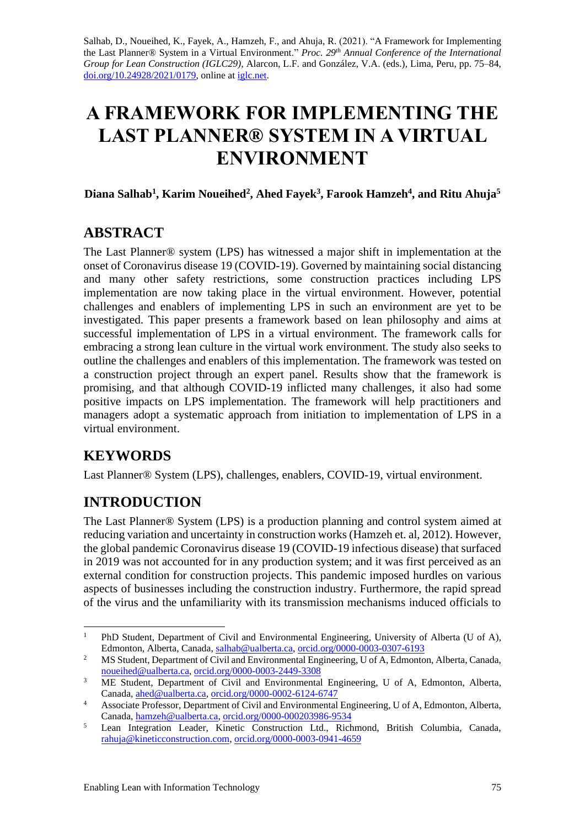Salhab, D., Noueihed, K., Fayek, A., Hamzeh, F., and Ahuja, R. (2021). "A Framework for Implementing the Last Planner® System in a Virtual Environment." *Proc. 29th Annual Conference of the International Group for Lean Construction (IGLC29),* Alarcon, L.F. and González, V.A. (eds.)*,* Lima, Peru, pp. 75–84, [doi.org/10.24928/2021/0179,](https://doi.org/10.24928/2021/0179) online a[t iglc.net.](http://iglc.net/)

# **A FRAMEWORK FOR IMPLEMENTING THE LAST PLANNER® SYSTEM IN A VIRTUAL ENVIRONMENT**

**Diana Salhab<sup>1</sup> , Karim Noueihed<sup>2</sup> , Ahed Fayek<sup>3</sup> , Farook Hamzeh<sup>4</sup> , and Ritu Ahuja<sup>5</sup>**

## **ABSTRACT**

The Last Planner® system (LPS) has witnessed a major shift in implementation at the onset of Coronavirus disease 19 (COVID-19). Governed by maintaining social distancing and many other safety restrictions, some construction practices including LPS implementation are now taking place in the virtual environment. However, potential challenges and enablers of implementing LPS in such an environment are yet to be investigated. This paper presents a framework based on lean philosophy and aims at successful implementation of LPS in a virtual environment. The framework calls for embracing a strong lean culture in the virtual work environment. The study also seeks to outline the challenges and enablers of this implementation. The framework was tested on a construction project through an expert panel. Results show that the framework is promising, and that although COVID-19 inflicted many challenges, it also had some positive impacts on LPS implementation. The framework will help practitioners and managers adopt a systematic approach from initiation to implementation of LPS in a virtual environment.

## **KEYWORDS**

Last Planner® System (LPS), challenges, enablers, COVID-19, virtual environment.

## **INTRODUCTION**

The Last Planner® System (LPS) is a production planning and control system aimed at reducing variation and uncertainty in construction works (Hamzeh et. al, 2012). However, the global pandemic Coronavirus disease 19 (COVID-19 infectious disease) that surfaced in 2019 was not accounted for in any production system; and it was first perceived as an external condition for construction projects. This pandemic imposed hurdles on various aspects of businesses including the construction industry. Furthermore, the rapid spread of the virus and the unfamiliarity with its transmission mechanisms induced officials to

<sup>&</sup>lt;sup>1</sup> PhD Student, Department of Civil and Environmental Engineering, University of Alberta (U of A), Edmonton, Alberta, Canada[, salhab@ualberta.ca,](mailto:salhab@ualberta.ca) [orcid.org/0000-0003-0307-6193](https://orcid.org/0000-0003-0307-6193)

<sup>&</sup>lt;sup>2</sup> MS Student, Department of Civil and Environmental Engineering, U of A, Edmonton, Alberta, Canada, [noueihed@ualberta.ca,](mailto:noueihed@ualberta.ca) [orcid.org/0000-0003-2449-3308](https://orcid.org/0000-0003-2449-3308)

<sup>&</sup>lt;sup>3</sup> ME Student, Department of Civil and Environmental Engineering, U of A, Edmonton, Alberta, Canada, [ahed@ualberta.ca,](mailto:ahed@ualberta.ca) [orcid.org/0000-0002-6124-6747](https://orcid.org/0000-0002-6124-6747)

<sup>4</sup> Associate Professor, Department of Civil and Environmental Engineering, U of A, Edmonton, Alberta, Canada, [hamzeh@ualberta.ca,](mailto:hamzeh@ualberta.ca) [orcid.org/0000-000203986-9534](https://orcid.org/0000-000203986-9534)

<sup>&</sup>lt;sup>5</sup> Lean Integration Leader, Kinetic Construction Ltd., Richmond, British Columbia, Canada, [rahuja@kineticconstruction.com,](mailto:rahuja@kineticconstruction.com) [orcid.org/0000-0003-0941-4659](https://orcid.org/0000-0003-0941-4659)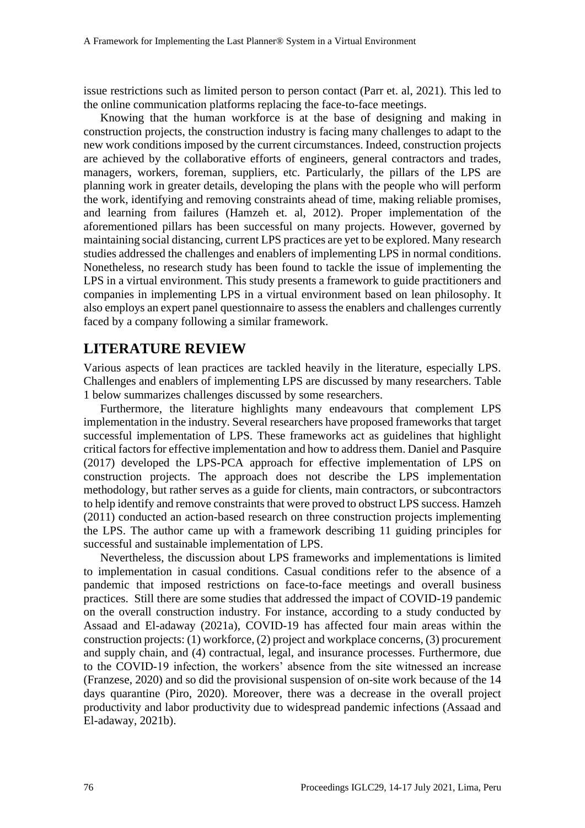issue restrictions such as limited person to person contact (Parr et. al, 2021). This led to the online communication platforms replacing the face-to-face meetings.

Knowing that the human workforce is at the base of designing and making in construction projects, the construction industry is facing many challenges to adapt to the new work conditions imposed by the current circumstances. Indeed, construction projects are achieved by the collaborative efforts of engineers, general contractors and trades, managers, workers, foreman, suppliers, etc. Particularly, the pillars of the LPS are planning work in greater details, developing the plans with the people who will perform the work, identifying and removing constraints ahead of time, making reliable promises, and learning from failures (Hamzeh et. al, 2012). Proper implementation of the aforementioned pillars has been successful on many projects. However, governed by maintaining social distancing, current LPS practices are yet to be explored. Many research studies addressed the challenges and enablers of implementing LPS in normal conditions. Nonetheless, no research study has been found to tackle the issue of implementing the LPS in a virtual environment. This study presents a framework to guide practitioners and companies in implementing LPS in a virtual environment based on lean philosophy. It also employs an expert panel questionnaire to assess the enablers and challenges currently faced by a company following a similar framework.

## **LITERATURE REVIEW**

Various aspects of lean practices are tackled heavily in the literature, especially LPS. Challenges and enablers of implementing LPS are discussed by many researchers. Table 1 below summarizes challenges discussed by some researchers.

Furthermore, the literature highlights many endeavours that complement LPS implementation in the industry. Several researchers have proposed frameworks that target successful implementation of LPS. These frameworks act as guidelines that highlight critical factors for effective implementation and how to address them. Daniel and Pasquire (2017) developed the LPS-PCA approach for effective implementation of LPS on construction projects. The approach does not describe the LPS implementation methodology, but rather serves as a guide for clients, main contractors, or subcontractors to help identify and remove constraints that were proved to obstruct LPS success. Hamzeh (2011) conducted an action-based research on three construction projects implementing the LPS. The author came up with a framework describing 11 guiding principles for successful and sustainable implementation of LPS.

Nevertheless, the discussion about LPS frameworks and implementations is limited to implementation in casual conditions. Casual conditions refer to the absence of a pandemic that imposed restrictions on face-to-face meetings and overall business practices. Still there are some studies that addressed the impact of COVID-19 pandemic on the overall construction industry. For instance, according to a study conducted by Assaad and El-adaway (2021a), COVID-19 has affected four main areas within the construction projects: (1) workforce, (2) project and workplace concerns, (3) procurement and supply chain, and (4) contractual, legal, and insurance processes. Furthermore, due to the COVID-19 infection, the workers' absence from the site witnessed an increase (Franzese, 2020) and so did the provisional suspension of on-site work because of the 14 days quarantine (Piro, 2020). Moreover, there was a decrease in the overall project productivity and labor productivity due to widespread pandemic infections (Assaad and El-adaway, 2021b).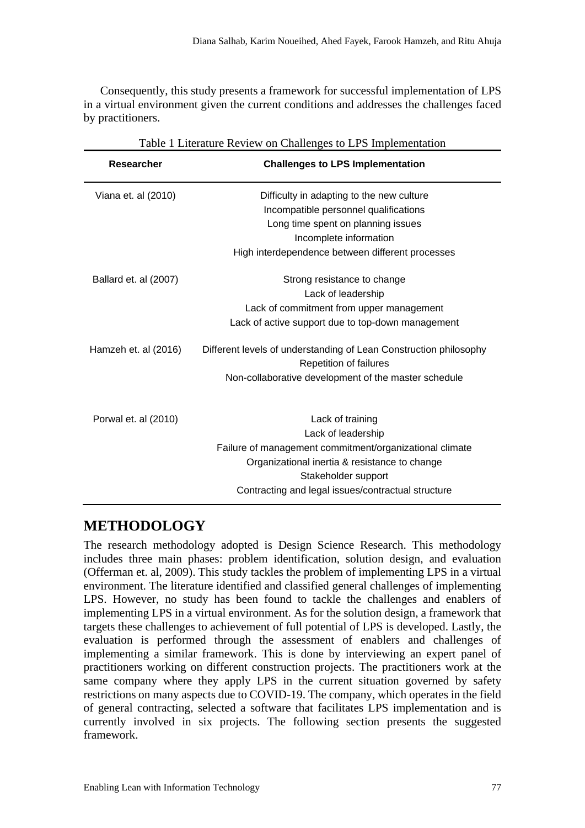Consequently, this study presents a framework for successful implementation of LPS in a virtual environment given the current conditions and addresses the challenges faced by practitioners.

| Table 1 Literature Review on Challenges to LPS Implementation |                                                                                             |  |  |  |  |
|---------------------------------------------------------------|---------------------------------------------------------------------------------------------|--|--|--|--|
| <b>Researcher</b>                                             | <b>Challenges to LPS Implementation</b>                                                     |  |  |  |  |
| Viana et. al (2010)                                           | Difficulty in adapting to the new culture                                                   |  |  |  |  |
|                                                               | Incompatible personnel qualifications                                                       |  |  |  |  |
|                                                               | Long time spent on planning issues                                                          |  |  |  |  |
|                                                               | Incomplete information                                                                      |  |  |  |  |
|                                                               | High interdependence between different processes                                            |  |  |  |  |
| Ballard et. al (2007)                                         | Strong resistance to change                                                                 |  |  |  |  |
|                                                               | Lack of leadership                                                                          |  |  |  |  |
|                                                               | Lack of commitment from upper management                                                    |  |  |  |  |
|                                                               | Lack of active support due to top-down management                                           |  |  |  |  |
| Hamzeh et. al (2016)                                          | Different levels of understanding of Lean Construction philosophy<br>Repetition of failures |  |  |  |  |
|                                                               | Non-collaborative development of the master schedule                                        |  |  |  |  |
|                                                               |                                                                                             |  |  |  |  |
| Porwal et. al (2010)                                          | Lack of training                                                                            |  |  |  |  |
|                                                               | Lack of leadership                                                                          |  |  |  |  |
|                                                               | Failure of management commitment/organizational climate                                     |  |  |  |  |
|                                                               | Organizational inertia & resistance to change<br>Stakeholder support                        |  |  |  |  |
|                                                               | Contracting and legal issues/contractual structure                                          |  |  |  |  |
|                                                               |                                                                                             |  |  |  |  |

#### Table 1 Literature Review on Challenges to LPS Implementation

#### **METHODOLOGY**

The research methodology adopted is Design Science Research. This methodology includes three main phases: problem identification, solution design, and evaluation (Offerman et. al, 2009). This study tackles the problem of implementing LPS in a virtual environment. The literature identified and classified general challenges of implementing LPS. However, no study has been found to tackle the challenges and enablers of implementing LPS in a virtual environment. As for the solution design, a framework that targets these challenges to achievement of full potential of LPS is developed. Lastly, the evaluation is performed through the assessment of enablers and challenges of implementing a similar framework. This is done by interviewing an expert panel of practitioners working on different construction projects. The practitioners work at the same company where they apply LPS in the current situation governed by safety restrictions on many aspects due to COVID-19. The company, which operates in the field of general contracting, selected a software that facilitates LPS implementation and is currently involved in six projects. The following section presents the suggested framework.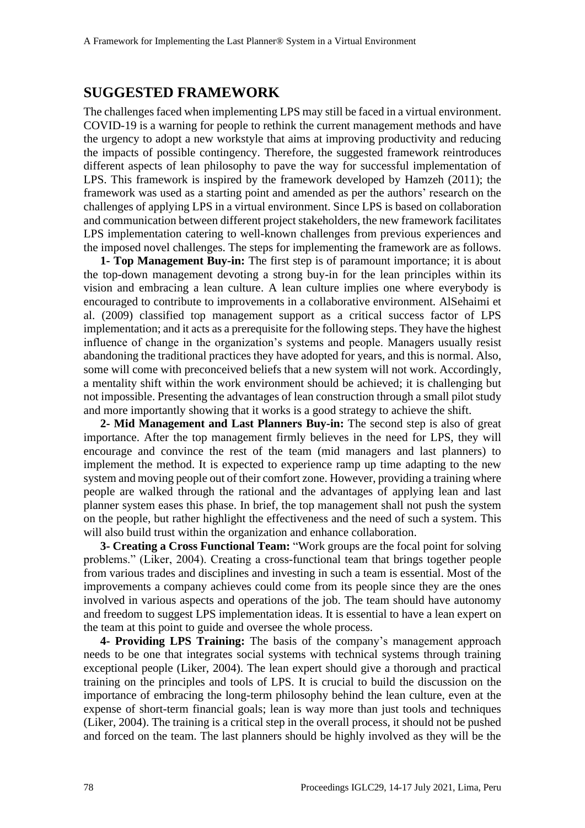### **SUGGESTED FRAMEWORK**

The challenges faced when implementing LPS may still be faced in a virtual environment. COVID-19 is a warning for people to rethink the current management methods and have the urgency to adopt a new workstyle that aims at improving productivity and reducing the impacts of possible contingency. Therefore, the suggested framework reintroduces different aspects of lean philosophy to pave the way for successful implementation of LPS. This framework is inspired by the framework developed by Hamzeh (2011); the framework was used as a starting point and amended as per the authors' research on the challenges of applying LPS in a virtual environment. Since LPS is based on collaboration and communication between different project stakeholders, the new framework facilitates LPS implementation catering to well-known challenges from previous experiences and the imposed novel challenges. The steps for implementing the framework are as follows.

**1- Top Management Buy-in:** The first step is of paramount importance; it is about the top-down management devoting a strong buy-in for the lean principles within its vision and embracing a lean culture. A lean culture implies one where everybody is encouraged to contribute to improvements in a collaborative environment. AlSehaimi et al. (2009) classified top management support as a critical success factor of LPS implementation; and it acts as a prerequisite for the following steps. They have the highest influence of change in the organization's systems and people. Managers usually resist abandoning the traditional practices they have adopted for years, and this is normal. Also, some will come with preconceived beliefs that a new system will not work. Accordingly, a mentality shift within the work environment should be achieved; it is challenging but not impossible. Presenting the advantages of lean construction through a small pilot study and more importantly showing that it works is a good strategy to achieve the shift.

**2- Mid Management and Last Planners Buy-in:** The second step is also of great importance. After the top management firmly believes in the need for LPS, they will encourage and convince the rest of the team (mid managers and last planners) to implement the method. It is expected to experience ramp up time adapting to the new system and moving people out of their comfort zone. However, providing a training where people are walked through the rational and the advantages of applying lean and last planner system eases this phase. In brief, the top management shall not push the system on the people, but rather highlight the effectiveness and the need of such a system. This will also build trust within the organization and enhance collaboration.

**3- Creating a Cross Functional Team:** "Work groups are the focal point for solving problems." (Liker, 2004). Creating a cross-functional team that brings together people from various trades and disciplines and investing in such a team is essential. Most of the improvements a company achieves could come from its people since they are the ones involved in various aspects and operations of the job. The team should have autonomy and freedom to suggest LPS implementation ideas. It is essential to have a lean expert on the team at this point to guide and oversee the whole process.

**4- Providing LPS Training:** The basis of the company's management approach needs to be one that integrates social systems with technical systems through training exceptional people (Liker, 2004). The lean expert should give a thorough and practical training on the principles and tools of LPS. It is crucial to build the discussion on the importance of embracing the long-term philosophy behind the lean culture, even at the expense of short-term financial goals; lean is way more than just tools and techniques (Liker, 2004). The training is a critical step in the overall process, it should not be pushed and forced on the team. The last planners should be highly involved as they will be the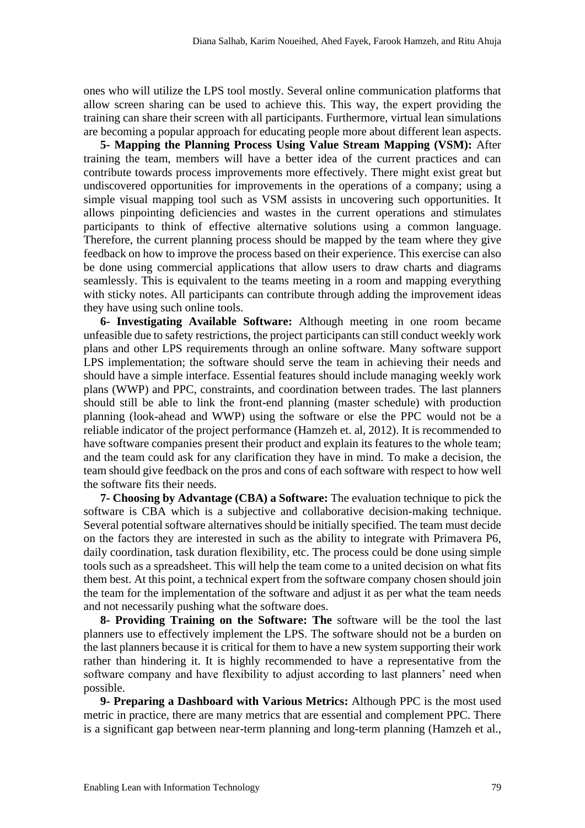ones who will utilize the LPS tool mostly. Several online communication platforms that allow screen sharing can be used to achieve this. This way, the expert providing the training can share their screen with all participants. Furthermore, virtual lean simulations are becoming a popular approach for educating people more about different lean aspects.

**5- Mapping the Planning Process Using Value Stream Mapping (VSM):** After training the team, members will have a better idea of the current practices and can contribute towards process improvements more effectively. There might exist great but undiscovered opportunities for improvements in the operations of a company; using a simple visual mapping tool such as VSM assists in uncovering such opportunities. It allows pinpointing deficiencies and wastes in the current operations and stimulates participants to think of effective alternative solutions using a common language. Therefore, the current planning process should be mapped by the team where they give feedback on how to improve the process based on their experience. This exercise can also be done using commercial applications that allow users to draw charts and diagrams seamlessly. This is equivalent to the teams meeting in a room and mapping everything with sticky notes. All participants can contribute through adding the improvement ideas they have using such online tools.

**6- Investigating Available Software:** Although meeting in one room became unfeasible due to safety restrictions, the project participants can still conduct weekly work plans and other LPS requirements through an online software. Many software support LPS implementation; the software should serve the team in achieving their needs and should have a simple interface. Essential features should include managing weekly work plans (WWP) and PPC, constraints, and coordination between trades. The last planners should still be able to link the front-end planning (master schedule) with production planning (look-ahead and WWP) using the software or else the PPC would not be a reliable indicator of the project performance (Hamzeh et. al, 2012). It is recommended to have software companies present their product and explain its features to the whole team; and the team could ask for any clarification they have in mind. To make a decision, the team should give feedback on the pros and cons of each software with respect to how well the software fits their needs.

**7- Choosing by Advantage (CBA) a Software:** The evaluation technique to pick the software is CBA which is a subjective and collaborative decision-making technique. Several potential software alternatives should be initially specified. The team must decide on the factors they are interested in such as the ability to integrate with Primavera P6, daily coordination, task duration flexibility, etc. The process could be done using simple tools such as a spreadsheet. This will help the team come to a united decision on what fits them best. At this point, a technical expert from the software company chosen should join the team for the implementation of the software and adjust it as per what the team needs and not necessarily pushing what the software does.

**8- Providing Training on the Software: The** software will be the tool the last planners use to effectively implement the LPS. The software should not be a burden on the last planners because it is critical for them to have a new system supporting their work rather than hindering it. It is highly recommended to have a representative from the software company and have flexibility to adjust according to last planners' need when possible.

**9- Preparing a Dashboard with Various Metrics:** Although PPC is the most used metric in practice, there are many metrics that are essential and complement PPC. There is a significant gap between near-term planning and long-term planning (Hamzeh et al.,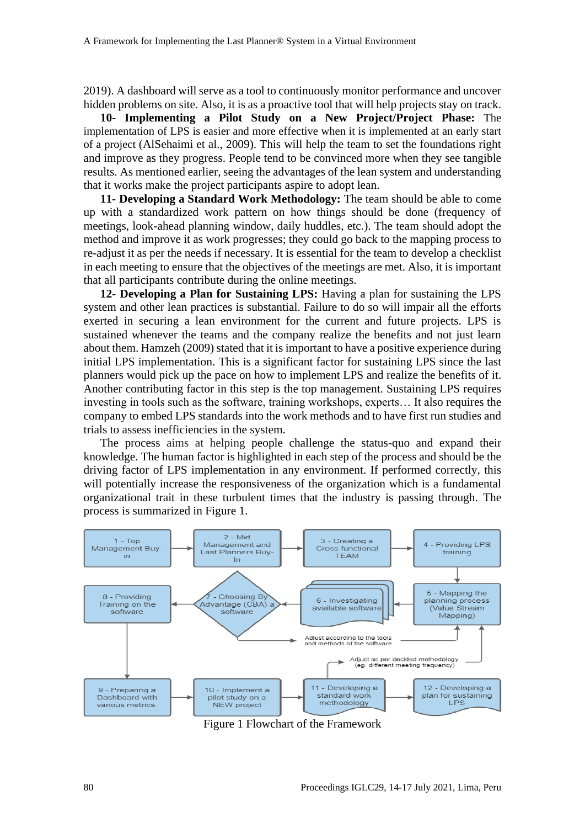2019). A dashboard will serve as a tool to continuously monitor performance and uncover hidden problems on site. Also, it is as a proactive tool that will help projects stay on track.

**10- Implementing a Pilot Study on a New Project/Project Phase:** The implementation of LPS is easier and more effective when it is implemented at an early start of a project (AlSehaimi et al., 2009). This will help the team to set the foundations right and improve as they progress. People tend to be convinced more when they see tangible results. As mentioned earlier, seeing the advantages of the lean system and understanding that it works make the project participants aspire to adopt lean.

**11- Developing a Standard Work Methodology:** The team should be able to come up with a standardized work pattern on how things should be done (frequency of meetings, look-ahead planning window, daily huddles, etc.). The team should adopt the method and improve it as work progresses; they could go back to the mapping process to re-adjust it as per the needs if necessary. It is essential for the team to develop a checklist in each meeting to ensure that the objectives of the meetings are met. Also, it is important that all participants contribute during the online meetings.

**12- Developing a Plan for Sustaining LPS:** Having a plan for sustaining the LPS system and other lean practices is substantial. Failure to do so will impair all the efforts exerted in securing a lean environment for the current and future projects. LPS is sustained whenever the teams and the company realize the benefits and not just learn about them. Hamzeh (2009) stated that it is important to have a positive experience during initial LPS implementation. This is a significant factor for sustaining LPS since the last planners would pick up the pace on how to implement LPS and realize the benefits of it. Another contributing factor in this step is the top management. Sustaining LPS requires investing in tools such as the software, training workshops, experts… It also requires the company to embed LPS standards into the work methods and to have first run studies and trials to assess inefficiencies in the system.

The process aims at helping people challenge the status-quo and expand their knowledge. The human factor is highlighted in each step of the process and should be the driving factor of LPS implementation in any environment. If performed correctly, this will potentially increase the responsiveness of the organization which is a fundamental organizational trait in these turbulent times that the industry is passing through. The process is summarized in Figure 1.



Figure 1 Flowchart of the Framework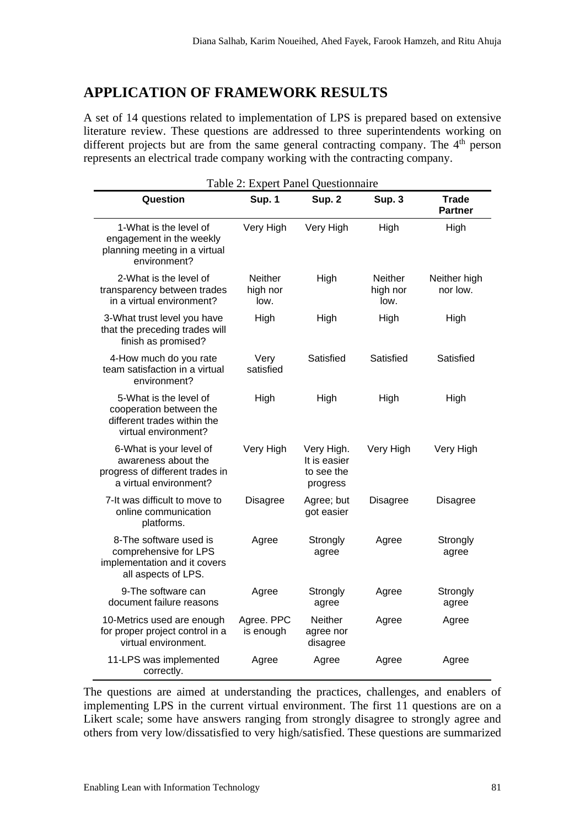#### **APPLICATION OF FRAMEWORK RESULTS**

A set of 14 questions related to implementation of LPS is prepared based on extensive literature review. These questions are addressed to three superintendents working on different projects but are from the same general contracting company. The  $4<sup>th</sup>$  person represents an electrical trade company working with the contracting company.

| Table 2: Expert Panel Questionnaire                                                                         |                                    |                                                      |                             |                                |  |
|-------------------------------------------------------------------------------------------------------------|------------------------------------|------------------------------------------------------|-----------------------------|--------------------------------|--|
| Question                                                                                                    | Sup. 1                             | Sup. 2                                               | Sup. 3                      | <b>Trade</b><br><b>Partner</b> |  |
| 1-What is the level of<br>engagement in the weekly<br>planning meeting in a virtual<br>environment?         | Very High                          | Very High                                            | High                        | High                           |  |
| 2-What is the level of<br>transparency between trades<br>in a virtual environment?                          | <b>Neither</b><br>high nor<br>low. | High                                                 | Neither<br>high nor<br>low. | Neither high<br>nor low.       |  |
| 3-What trust level you have<br>that the preceding trades will<br>finish as promised?                        | High                               | High                                                 | High                        | High                           |  |
| 4-How much do you rate<br>team satisfaction in a virtual<br>environment?                                    | Very<br>satisfied                  | Satisfied                                            | Satisfied                   | Satisfied                      |  |
| 5-What is the level of<br>cooperation between the<br>different trades within the<br>virtual environment?    | High                               | High                                                 | High                        | High                           |  |
| 6-What is your level of<br>awareness about the<br>progress of different trades in<br>a virtual environment? | Very High                          | Very High.<br>It is easier<br>to see the<br>progress | Very High                   | Very High                      |  |
| 7-It was difficult to move to<br>online communication<br>platforms.                                         | <b>Disagree</b>                    | Agree; but<br>got easier                             | <b>Disagree</b>             | <b>Disagree</b>                |  |
| 8-The software used is<br>comprehensive for LPS<br>implementation and it covers<br>all aspects of LPS.      | Agree                              | Strongly<br>agree                                    | Agree                       | Strongly<br>agree              |  |
| 9-The software can<br>document failure reasons                                                              | Agree                              | Strongly<br>agree                                    | Agree                       | Strongly<br>agree              |  |
| 10-Metrics used are enough<br>for proper project control in a<br>virtual environment.                       | Agree. PPC<br>is enough            | <b>Neither</b><br>agree nor<br>disagree              | Agree                       | Agree                          |  |
| 11-LPS was implemented<br>correctly.                                                                        | Agree                              | Agree                                                | Agree                       | Agree                          |  |

The questions are aimed at understanding the practices, challenges, and enablers of implementing LPS in the current virtual environment. The first 11 questions are on a Likert scale; some have answers ranging from strongly disagree to strongly agree and others from very low/dissatisfied to very high/satisfied. These questions are summarized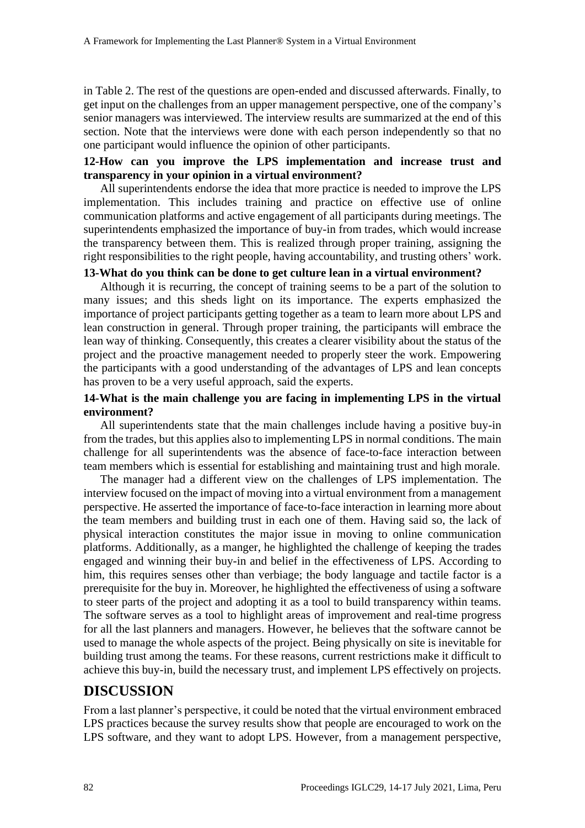in Table 2. The rest of the questions are open-ended and discussed afterwards. Finally, to get input on the challenges from an upper management perspective, one of the company's senior managers was interviewed. The interview results are summarized at the end of this section. Note that the interviews were done with each person independently so that no one participant would influence the opinion of other participants.

#### **12-How can you improve the LPS implementation and increase trust and transparency in your opinion in a virtual environment?**

All superintendents endorse the idea that more practice is needed to improve the LPS implementation. This includes training and practice on effective use of online communication platforms and active engagement of all participants during meetings. The superintendents emphasized the importance of buy-in from trades, which would increase the transparency between them. This is realized through proper training, assigning the right responsibilities to the right people, having accountability, and trusting others' work.

#### **13-What do you think can be done to get culture lean in a virtual environment?**

Although it is recurring, the concept of training seems to be a part of the solution to many issues; and this sheds light on its importance. The experts emphasized the importance of project participants getting together as a team to learn more about LPS and lean construction in general. Through proper training, the participants will embrace the lean way of thinking. Consequently, this creates a clearer visibility about the status of the project and the proactive management needed to properly steer the work. Empowering the participants with a good understanding of the advantages of LPS and lean concepts has proven to be a very useful approach, said the experts.

#### **14-What is the main challenge you are facing in implementing LPS in the virtual environment?**

All superintendents state that the main challenges include having a positive buy-in from the trades, but this applies also to implementing LPS in normal conditions. The main challenge for all superintendents was the absence of face-to-face interaction between team members which is essential for establishing and maintaining trust and high morale.

The manager had a different view on the challenges of LPS implementation. The interview focused on the impact of moving into a virtual environment from a management perspective. He asserted the importance of face-to-face interaction in learning more about the team members and building trust in each one of them. Having said so, the lack of physical interaction constitutes the major issue in moving to online communication platforms. Additionally, as a manger, he highlighted the challenge of keeping the trades engaged and winning their buy-in and belief in the effectiveness of LPS. According to him, this requires senses other than verbiage; the body language and tactile factor is a prerequisite for the buy in. Moreover, he highlighted the effectiveness of using a software to steer parts of the project and adopting it as a tool to build transparency within teams. The software serves as a tool to highlight areas of improvement and real-time progress for all the last planners and managers. However, he believes that the software cannot be used to manage the whole aspects of the project. Being physically on site is inevitable for building trust among the teams. For these reasons, current restrictions make it difficult to achieve this buy-in, build the necessary trust, and implement LPS effectively on projects.

## **DISCUSSION**

From a last planner's perspective, it could be noted that the virtual environment embraced LPS practices because the survey results show that people are encouraged to work on the LPS software, and they want to adopt LPS. However, from a management perspective,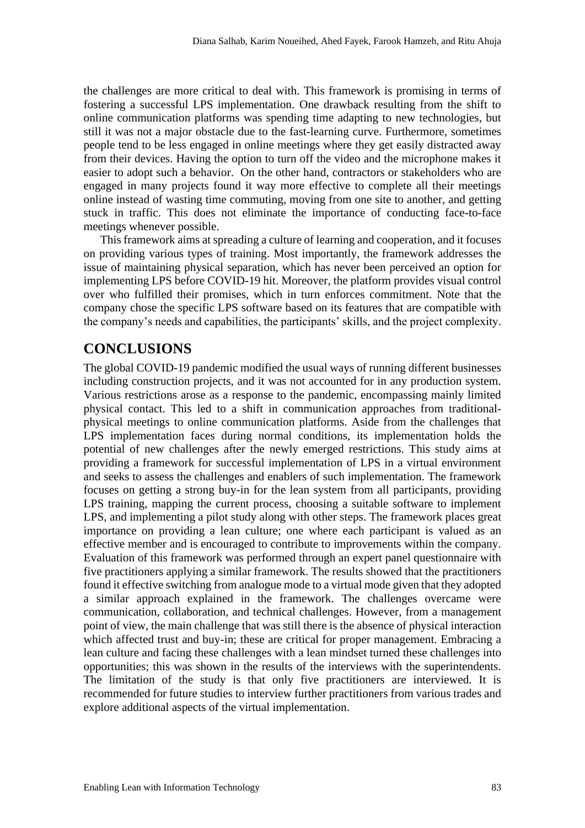the challenges are more critical to deal with. This framework is promising in terms of fostering a successful LPS implementation. One drawback resulting from the shift to online communication platforms was spending time adapting to new technologies, but still it was not a major obstacle due to the fast-learning curve. Furthermore, sometimes people tend to be less engaged in online meetings where they get easily distracted away from their devices. Having the option to turn off the video and the microphone makes it easier to adopt such a behavior. On the other hand, contractors or stakeholders who are engaged in many projects found it way more effective to complete all their meetings online instead of wasting time commuting, moving from one site to another, and getting stuck in traffic. This does not eliminate the importance of conducting face-to-face meetings whenever possible.

This framework aims at spreading a culture of learning and cooperation, and it focuses on providing various types of training. Most importantly, the framework addresses the issue of maintaining physical separation, which has never been perceived an option for implementing LPS before COVID-19 hit. Moreover, the platform provides visual control over who fulfilled their promises, which in turn enforces commitment. Note that the company chose the specific LPS software based on its features that are compatible with the company's needs and capabilities, the participants' skills, and the project complexity.

## **CONCLUSIONS**

The global COVID-19 pandemic modified the usual ways of running different businesses including construction projects, and it was not accounted for in any production system. Various restrictions arose as a response to the pandemic, encompassing mainly limited physical contact. This led to a shift in communication approaches from traditionalphysical meetings to online communication platforms. Aside from the challenges that LPS implementation faces during normal conditions, its implementation holds the potential of new challenges after the newly emerged restrictions. This study aims at providing a framework for successful implementation of LPS in a virtual environment and seeks to assess the challenges and enablers of such implementation. The framework focuses on getting a strong buy-in for the lean system from all participants, providing LPS training, mapping the current process, choosing a suitable software to implement LPS, and implementing a pilot study along with other steps. The framework places great importance on providing a lean culture; one where each participant is valued as an effective member and is encouraged to contribute to improvements within the company. Evaluation of this framework was performed through an expert panel questionnaire with five practitioners applying a similar framework. The results showed that the practitioners found it effective switching from analogue mode to a virtual mode given that they adopted a similar approach explained in the framework. The challenges overcame were communication, collaboration, and technical challenges. However, from a management point of view, the main challenge that was still there is the absence of physical interaction which affected trust and buy-in; these are critical for proper management. Embracing a lean culture and facing these challenges with a lean mindset turned these challenges into opportunities; this was shown in the results of the interviews with the superintendents. The limitation of the study is that only five practitioners are interviewed. It is recommended for future studies to interview further practitioners from various trades and explore additional aspects of the virtual implementation.